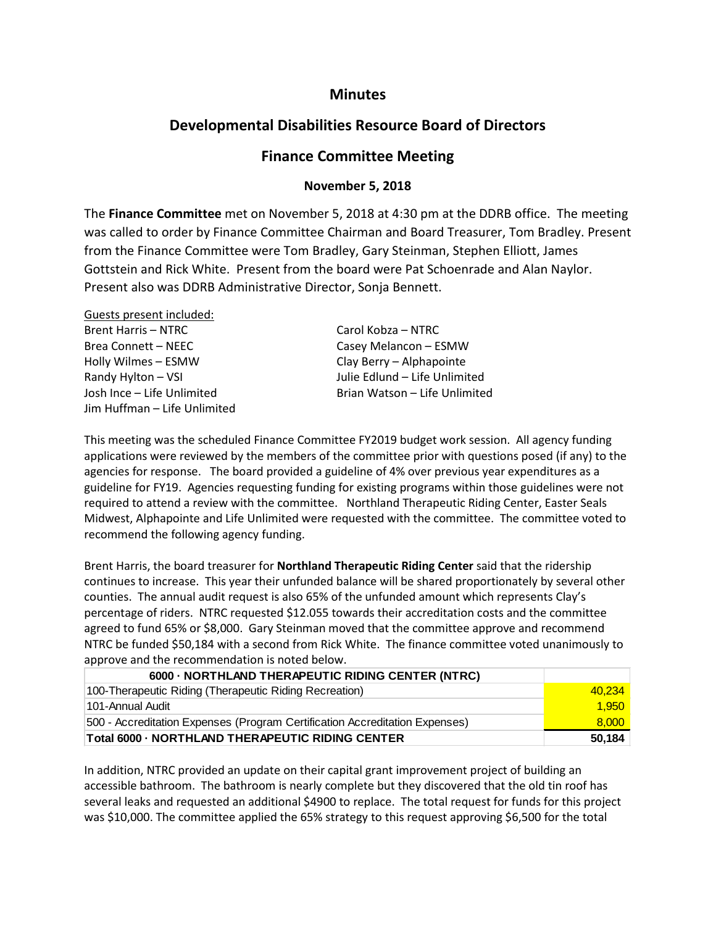## **Minutes**

# **Developmental Disabilities Resource Board of Directors**

## **Finance Committee Meeting**

#### **November 5, 2018**

The **Finance Committee** met on November 5, 2018 at 4:30 pm at the DDRB office. The meeting was called to order by Finance Committee Chairman and Board Treasurer, Tom Bradley. Present from the Finance Committee were Tom Bradley, Gary Steinman, Stephen Elliott, James Gottstein and Rick White. Present from the board were Pat Schoenrade and Alan Naylor. Present also was DDRB Administrative Director, Sonja Bennett.

| Guests present included:     |                               |
|------------------------------|-------------------------------|
| <b>Brent Harris – NTRC</b>   | Carol Kobza - NTRC            |
| Brea Connett – NEEC          | Casey Melancon - ESMW         |
| Holly Wilmes - ESMW          | Clay Berry - Alphapointe      |
| Randy Hylton - VSI           | Julie Edlund - Life Unlimited |
| Josh Ince - Life Unlimited   | Brian Watson - Life Unlimited |
| Jim Huffman – Life Unlimited |                               |

This meeting was the scheduled Finance Committee FY2019 budget work session. All agency funding applications were reviewed by the members of the committee prior with questions posed (if any) to the agencies for response. The board provided a guideline of 4% over previous year expenditures as a guideline for FY19. Agencies requesting funding for existing programs within those guidelines were not required to attend a review with the committee. Northland Therapeutic Riding Center, Easter Seals Midwest, Alphapointe and Life Unlimited were requested with the committee. The committee voted to recommend the following agency funding.

Brent Harris, the board treasurer for **Northland Therapeutic Riding Center** said that the ridership continues to increase. This year their unfunded balance will be shared proportionately by several other counties. The annual audit request is also 65% of the unfunded amount which represents Clay's percentage of riders. NTRC requested \$12.055 towards their accreditation costs and the committee agreed to fund 65% or \$8,000. Gary Steinman moved that the committee approve and recommend NTRC be funded \$50,184 with a second from Rick White. The finance committee voted unanimously to approve and the recommendation is noted below.

| 6000 - NORTHLAND THERAPEUTIC RIDING CENTER (NTRC)                           |        |
|-----------------------------------------------------------------------------|--------|
| 100-Therapeutic Riding (Therapeutic Riding Recreation)                      | 40.234 |
| 101-Annual Audit                                                            | 1,950  |
| 500 - Accreditation Expenses (Program Certification Accreditation Expenses) | 8.000  |
| Total 6000 - NORTHLAND THERAPEUTIC RIDING CENTER                            | 50,184 |

In addition, NTRC provided an update on their capital grant improvement project of building an accessible bathroom. The bathroom is nearly complete but they discovered that the old tin roof has several leaks and requested an additional \$4900 to replace. The total request for funds for this project was \$10,000. The committee applied the 65% strategy to this request approving \$6,500 for the total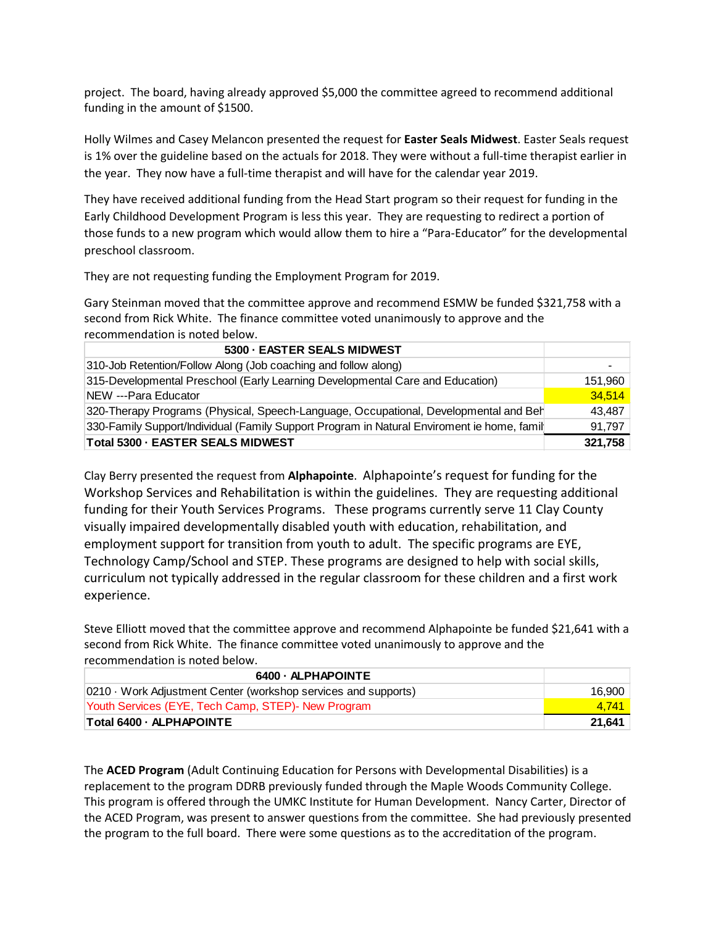project. The board, having already approved \$5,000 the committee agreed to recommend additional funding in the amount of \$1500.

Holly Wilmes and Casey Melancon presented the request for **Easter Seals Midwest**. Easter Seals request is 1% over the guideline based on the actuals for 2018. They were without a full-time therapist earlier in the year. They now have a full-time therapist and will have for the calendar year 2019.

They have received additional funding from the Head Start program so their request for funding in the Early Childhood Development Program is less this year. They are requesting to redirect a portion of those funds to a new program which would allow them to hire a "Para-Educator" for the developmental preschool classroom.

They are not requesting funding the Employment Program for 2019.

Gary Steinman moved that the committee approve and recommend ESMW be funded \$321,758 with a second from Rick White. The finance committee voted unanimously to approve and the recommendation is noted below.

| 5300 - EASTER SEALS MIDWEST                                                                |         |
|--------------------------------------------------------------------------------------------|---------|
| 310-Job Retention/Follow Along (Job coaching and follow along)                             | ۰       |
| 315-Developmental Preschool (Early Learning Developmental Care and Education)              | 151,960 |
| NEW ---Para Educator                                                                       | 34.514  |
| 320-Therapy Programs (Physical, Speech-Language, Occupational, Developmental and Beh       | 43.487  |
| 330-Family Support/Individual (Family Support Program in Natural Enviroment ie home, famil | 91,797  |
| Total 5300 - EASTER SEALS MIDWEST                                                          | 321,758 |

Clay Berry presented the request from **Alphapointe**. Alphapointe's request for funding for the Workshop Services and Rehabilitation is within the guidelines. They are requesting additional funding for their Youth Services Programs. These programs currently serve 11 Clay County visually impaired developmentally disabled youth with education, rehabilitation, and employment support for transition from youth to adult. The specific programs are EYE, Technology Camp/School and STEP. These programs are designed to help with social skills, curriculum not typically addressed in the regular classroom for these children and a first work experience.

Steve Elliott moved that the committee approve and recommend Alphapointe be funded \$21,641 with a second from Rick White. The finance committee voted unanimously to approve and the recommendation is noted below.

| 6400 - ALPHAPOINTE                                           |        |
|--------------------------------------------------------------|--------|
| 0210 Work Adjustment Center (workshop services and supports) | 16.900 |
| Youth Services (EYE, Tech Camp, STEP) - New Program          | 4.741  |
| Total 6400 - ALPHAPOINTE                                     | 21,641 |

The **ACED Program** (Adult Continuing Education for Persons with Developmental Disabilities) is a replacement to the program DDRB previously funded through the Maple Woods Community College. This program is offered through the UMKC Institute for Human Development. Nancy Carter, Director of the ACED Program, was present to answer questions from the committee. She had previously presented the program to the full board. There were some questions as to the accreditation of the program.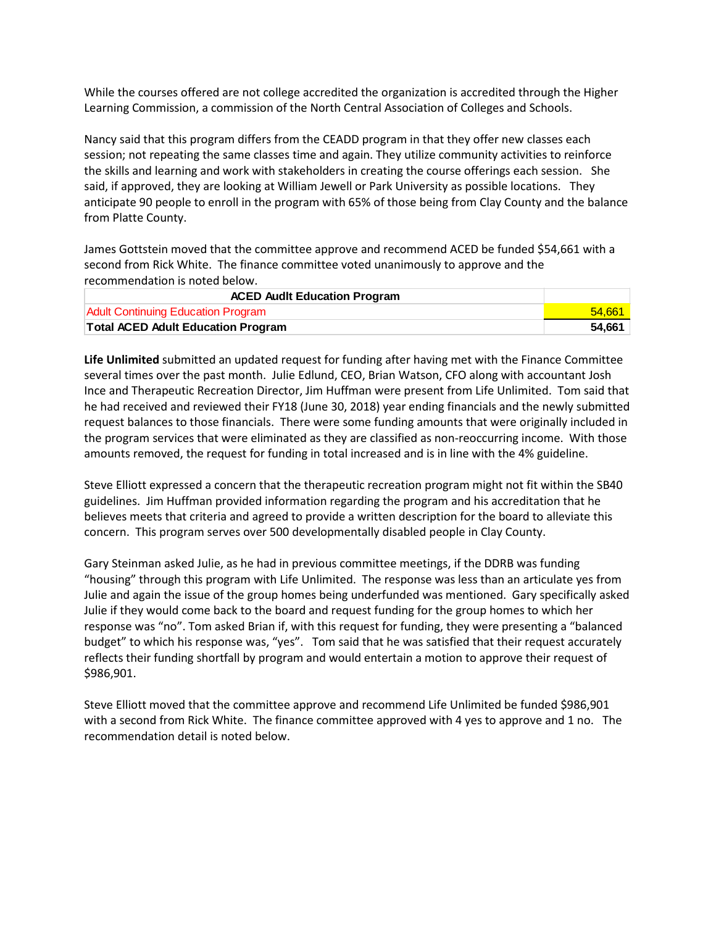While the courses offered are not college accredited the organization is accredited through the Higher Learning Commission, a commission of the North Central Association of Colleges and Schools.

Nancy said that this program differs from the CEADD program in that they offer new classes each session; not repeating the same classes time and again. They utilize community activities to reinforce the skills and learning and work with stakeholders in creating the course offerings each session. She said, if approved, they are looking at William Jewell or Park University as possible locations. They anticipate 90 people to enroll in the program with 65% of those being from Clay County and the balance from Platte County.

James Gottstein moved that the committee approve and recommend ACED be funded \$54,661 with a second from Rick White. The finance committee voted unanimously to approve and the recommendation is noted below.

| <b>ACED Audit Education Program</b>       |        |
|-------------------------------------------|--------|
| <b>Adult Continuing Education Program</b> | 54.661 |
| <b>Total ACED Adult Education Program</b> | 54.661 |

**Life Unlimited** submitted an updated request for funding after having met with the Finance Committee several times over the past month. Julie Edlund, CEO, Brian Watson, CFO along with accountant Josh Ince and Therapeutic Recreation Director, Jim Huffman were present from Life Unlimited. Tom said that he had received and reviewed their FY18 (June 30, 2018) year ending financials and the newly submitted request balances to those financials. There were some funding amounts that were originally included in the program services that were eliminated as they are classified as non-reoccurring income. With those amounts removed, the request for funding in total increased and is in line with the 4% guideline.

Steve Elliott expressed a concern that the therapeutic recreation program might not fit within the SB40 guidelines. Jim Huffman provided information regarding the program and his accreditation that he believes meets that criteria and agreed to provide a written description for the board to alleviate this concern. This program serves over 500 developmentally disabled people in Clay County.

Gary Steinman asked Julie, as he had in previous committee meetings, if the DDRB was funding "housing" through this program with Life Unlimited. The response was less than an articulate yes from Julie and again the issue of the group homes being underfunded was mentioned. Gary specifically asked Julie if they would come back to the board and request funding for the group homes to which her response was "no". Tom asked Brian if, with this request for funding, they were presenting a "balanced budget" to which his response was, "yes". Tom said that he was satisfied that their request accurately reflects their funding shortfall by program and would entertain a motion to approve their request of \$986,901.

Steve Elliott moved that the committee approve and recommend Life Unlimited be funded \$986,901 with a second from Rick White. The finance committee approved with 4 yes to approve and 1 no. The recommendation detail is noted below.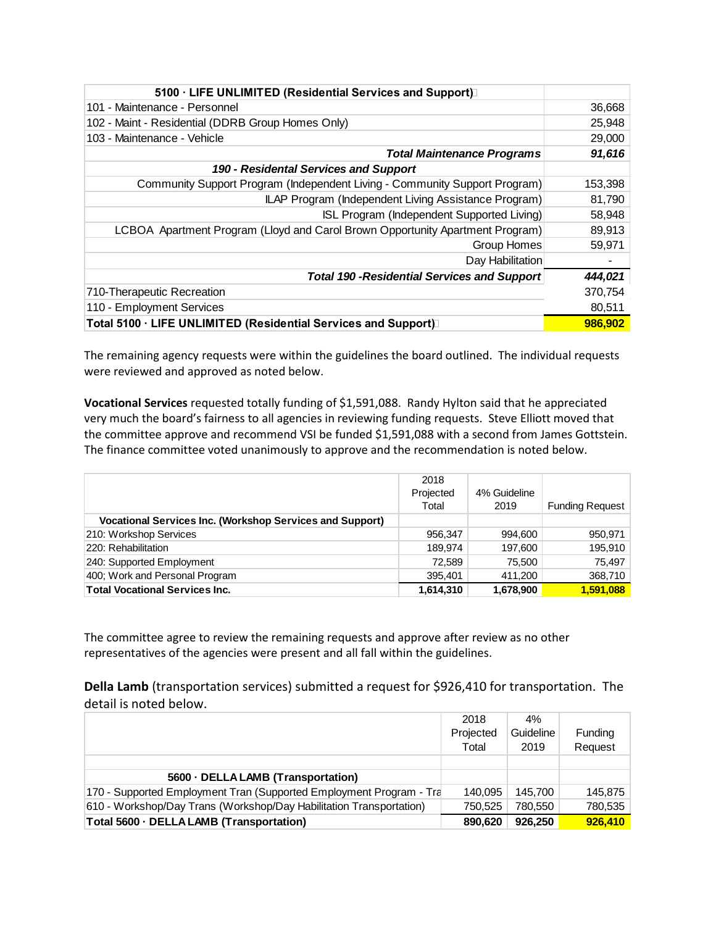| 5100 · LIFE UNLIMITED (Residential Services and Support)                      |         |
|-------------------------------------------------------------------------------|---------|
| 101 - Maintenance - Personnel                                                 | 36,668  |
| 102 - Maint - Residential (DDRB Group Homes Only)                             | 25,948  |
| 103 - Maintenance - Vehicle                                                   | 29,000  |
| <b>Total Maintenance Programs</b>                                             | 91,616  |
| 190 - Residental Services and Support                                         |         |
| Community Support Program (Independent Living - Community Support Program)    | 153,398 |
| ILAP Program (Independent Living Assistance Program)                          | 81,790  |
| ISL Program (Independent Supported Living)                                    | 58,948  |
| LCBOA Apartment Program (Lloyd and Carol Brown Opportunity Apartment Program) | 89,913  |
| Group Homes                                                                   | 59,971  |
| Day Habilitation                                                              |         |
| <b>Total 190 - Residential Services and Support</b>                           | 444,021 |
| 710-Therapeutic Recreation                                                    | 370.754 |
| 110 - Employment Services                                                     | 80,511  |
| Total 5100 · LIFE UNLIMITED (Residential Services and Support)                | 986,902 |

The remaining agency requests were within the guidelines the board outlined. The individual requests were reviewed and approved as noted below.

**Vocational Services** requested totally funding of \$1,591,088. Randy Hylton said that he appreciated very much the board's fairness to all agencies in reviewing funding requests. Steve Elliott moved that the committee approve and recommend VSI be funded \$1,591,088 with a second from James Gottstein. The finance committee voted unanimously to approve and the recommendation is noted below.

|                                                                 | 2018      |              |                        |
|-----------------------------------------------------------------|-----------|--------------|------------------------|
|                                                                 | Projected | 4% Guideline |                        |
|                                                                 | Total     | 2019         | <b>Funding Request</b> |
| <b>Vocational Services Inc. (Workshop Services and Support)</b> |           |              |                        |
| 210: Workshop Services                                          | 956.347   | 994,600      | 950,971                |
| 220: Rehabilitation                                             | 189.974   | 197,600      | 195,910                |
| 240: Supported Employment                                       | 72.589    | 75.500       | 75.497                 |
| 400; Work and Personal Program                                  | 395.401   | 411,200      | 368,710                |
| <b>Total Vocational Services Inc.</b>                           | 1,614,310 | 1,678,900    | 1.591.088              |

The committee agree to review the remaining requests and approve after review as no other representatives of the agencies were present and all fall within the guidelines.

**Della Lamb** (transportation services) submitted a request for \$926,410 for transportation. The detail is noted below.

|                                                                     | 2018      | 4%        |         |
|---------------------------------------------------------------------|-----------|-----------|---------|
|                                                                     | Projected | Guideline | Funding |
|                                                                     | Total     | 2019      | Request |
|                                                                     |           |           |         |
| 5600 · DELLA LAMB (Transportation)                                  |           |           |         |
| 170 - Supported Employment Tran (Supported Employment Program - Tra | 140.095   | 145.700   | 145.875 |
| 610 - Workshop/Day Trans (Workshop/Day Habilitation Transportation) | 750.525   | 780.550   | 780,535 |
| Total 5600 · DELLA LAMB (Transportation)                            | 890.620   | 926.250   | 926.410 |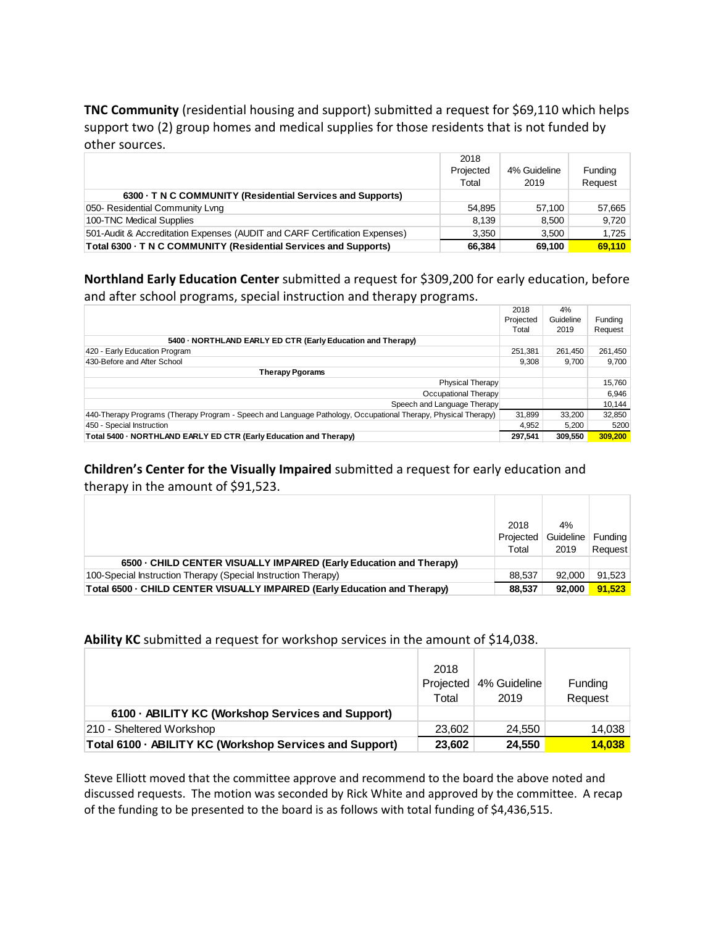**TNC Community** (residential housing and support) submitted a request for \$69,110 which helps support two (2) group homes and medical supplies for those residents that is not funded by other sources.

|                                                                            | 2018      |              |         |
|----------------------------------------------------------------------------|-----------|--------------|---------|
|                                                                            | Projected | 4% Guideline | Funding |
|                                                                            | Total     | 2019         | Request |
| 6300 · T N C COMMUNITY (Residential Services and Supports)                 |           |              |         |
| 050- Residential Community Lyng                                            | 54.895    | 57.100       | 57.665  |
| 100-TNC Medical Supplies                                                   | 8.139     | 8,500        | 9,720   |
| 501-Audit & Accreditation Expenses (AUDIT and CARF Certification Expenses) | 3.350     | 3.500        | 1,725   |
| Total 6300 · T N C COMMUNITY (Residential Services and Supports)           | 66,384    | 69.100       | 69,110  |

**Northland Early Education Center** submitted a request for \$309,200 for early education, before and after school programs, special instruction and therapy programs.

|                                                                                                                | 2018      | 4%        |         |
|----------------------------------------------------------------------------------------------------------------|-----------|-----------|---------|
|                                                                                                                | Projected | Guideline | Funding |
|                                                                                                                | Total     | 2019      | Request |
| 5400 NORTHLAND EARLY ED CTR (Early Education and Therapy)                                                      |           |           |         |
| 420 - Early Education Program                                                                                  | 251.381   | 261,450   | 261,450 |
| 430-Before and After School                                                                                    | 9.308     | 9.700     | 9,700   |
| <b>Therapy Pgorams</b>                                                                                         |           |           |         |
| <b>Physical Therapy</b>                                                                                        |           |           | 15,760  |
| Occupational Therapy                                                                                           |           |           | 6,946   |
| Speech and Language Therapy                                                                                    |           |           | 10,144  |
| 440-Therapy Programs (Therapy Program - Speech and Language Pathology, Occupational Therapy, Physical Therapy) | 31,899    | 33,200    | 32,850  |
| 450 - Special Instruction                                                                                      | 4.952     | 5.200     | 5200    |
| Total 5400 - NORTHLAND EARLY ED CTR (Early Education and Therapy)                                              | 297.541   | 309.550   | 309,200 |

**Children's Center for the Visually Impaired** submitted a request for early education and therapy in the amount of \$91,523.

|                                                                           | 2018      | 4%        |         |
|---------------------------------------------------------------------------|-----------|-----------|---------|
|                                                                           | Projected | Guideline | Funding |
|                                                                           | Total     | 2019      | Request |
| 6500 - CHILD CENTER VISUALLY IMPAIRED (Early Education and Therapy)       |           |           |         |
| 100-Special Instruction Therapy (Special Instruction Therapy)             | 88.537    | 92,000    | 91,523  |
| Total 6500 · CHILD CENTER VISUALLY IMPAIRED (Early Education and Therapy) | 88.537    | 92.000    | 91.523  |

#### **Ability KC** submitted a request for workshop services in the amount of \$14,038.

|                                                         | 2018<br>Projected<br>Total | 4% Guideline<br>2019 | Funding<br>Request |
|---------------------------------------------------------|----------------------------|----------------------|--------------------|
| 6100 · ABILITY KC (Workshop Services and Support)       |                            |                      |                    |
| 210 - Sheltered Workshop                                | 23.602                     | 24.550               | 14,038             |
| Total 6100 · ABILITY KC (Workshop Services and Support) | 23.602                     | 24.550               | 14.038             |

Steve Elliott moved that the committee approve and recommend to the board the above noted and discussed requests. The motion was seconded by Rick White and approved by the committee. A recap of the funding to be presented to the board is as follows with total funding of \$4,436,515.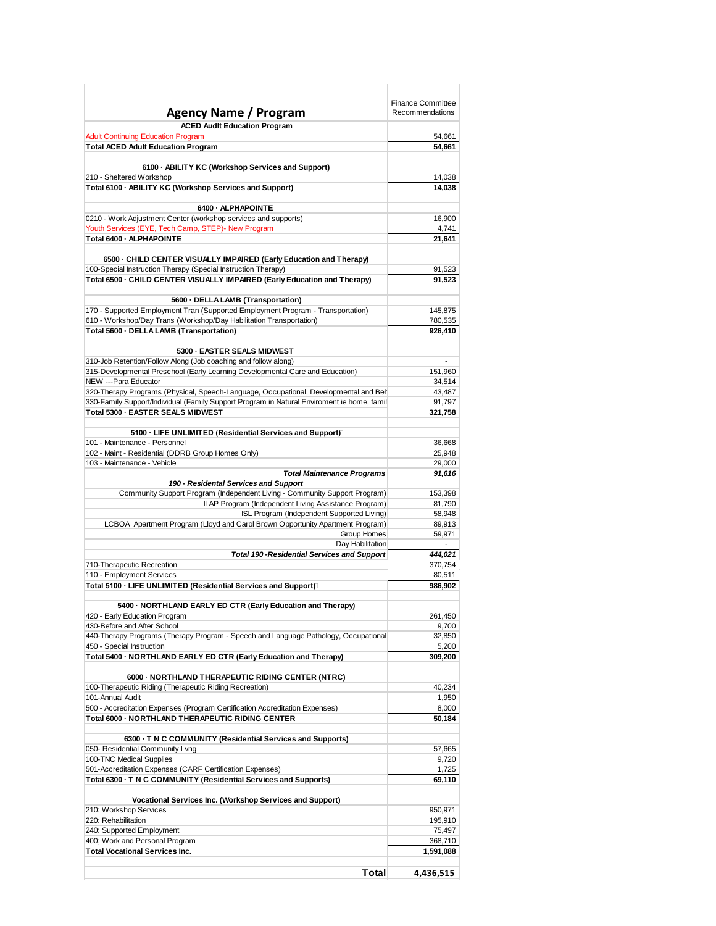|                                                                                                                                                        | <b>Finance Committee</b><br>Recommendations |
|--------------------------------------------------------------------------------------------------------------------------------------------------------|---------------------------------------------|
| Agency Name / Program                                                                                                                                  |                                             |
| <b>ACED Audit Education Program</b><br><b>Adult Continuing Education Program</b>                                                                       | 54,661                                      |
| <b>Total ACED Adult Education Program</b>                                                                                                              | 54,661                                      |
|                                                                                                                                                        |                                             |
| 6100 - ABILITY KC (Workshop Services and Support)                                                                                                      |                                             |
| 210 - Sheltered Workshop                                                                                                                               | 14,038<br>14,038                            |
| Total 6100 - ABILITY KC (Workshop Services and Support)                                                                                                |                                             |
| 6400 - ALPHAPOINTE                                                                                                                                     |                                             |
| 0210 · Work Adjustment Center (workshop services and supports)                                                                                         | 16,900                                      |
| Youth Services (EYE, Tech Camp, STEP)- New Program                                                                                                     | 4,741                                       |
| Total 6400 - ALPHAPOINTE                                                                                                                               | 21,641                                      |
| 6500 - CHILD CENTER VISUALLY IMPAIRED (Early Education and Therapy)                                                                                    |                                             |
| 100-Special Instruction Therapy (Special Instruction Therapy)                                                                                          | 91,523                                      |
| Total 6500 - CHILD CENTER VISUALLY IMPAIRED (Early Education and Therapy)                                                                              | 91,523                                      |
|                                                                                                                                                        |                                             |
| 5600 · DELLA LAMB (Transportation)                                                                                                                     |                                             |
| 170 - Supported Employment Tran (Supported Employment Program - Transportation)<br>610 - Workshop/Day Trans (Workshop/Day Habilitation Transportation) | 145,875<br>780,535                          |
| Total 5600 - DELLA LAMB (Transportation)                                                                                                               | 926,410                                     |
|                                                                                                                                                        |                                             |
| 5300 - EASTER SEALS MIDWEST                                                                                                                            |                                             |
| 310-Job Retention/Follow Along (Job coaching and follow along)                                                                                         |                                             |
| 315-Developmental Preschool (Early Learning Developmental Care and Education)<br>NEW ---Para Educator                                                  | 151,960<br>34,514                           |
| 320-Therapy Programs (Physical, Speech-Language, Occupational, Developmental and Beh                                                                   | 43,487                                      |
| 330-Family Support/Individual (Family Support Program in Natural Enviroment ie home, famil                                                             | 91,797                                      |
| Total 5300 - EASTER SEALS MIDWEST                                                                                                                      | 321,758                                     |
|                                                                                                                                                        |                                             |
| 5100 · LIFE UNLIMITED (Residential Services and Support)                                                                                               |                                             |
| 101 - Maintenance - Personnel<br>102 - Maint - Residential (DDRB Group Homes Only)                                                                     | 36,668<br>25,948                            |
| 103 - Maintenance - Vehicle                                                                                                                            | 29,000                                      |
| <b>Total Maintenance Programs</b>                                                                                                                      | 91,616                                      |
| 190 - Residental Services and Support                                                                                                                  |                                             |
| Community Support Program (Independent Living - Community Support Program)<br>ILAP Program (Independent Living Assistance Program)                     | 153,398<br>81,790                           |
| ISL Program (Independent Supported Living)                                                                                                             | 58,948                                      |
| LCBOA Apartment Program (Lloyd and Carol Brown Opportunity Apartment Program)                                                                          | 89,913                                      |
| Group Homes                                                                                                                                            | 59,971                                      |
| Day Habilitation                                                                                                                                       |                                             |
| <b>Total 190 - Residential Services and Support</b><br>710-Therapeutic Recreation                                                                      | 444,021<br>370,754                          |
| 110 - Employment Services                                                                                                                              | 80,511                                      |
| Total 5100 · LIFE UNLIMITED (Residential Services and Support)                                                                                         | 986,902                                     |
|                                                                                                                                                        |                                             |
| 5400 · NORTHLAND EARLY ED CTR (Early Education and Therapy)                                                                                            |                                             |
| 420 - Early Education Program<br>430-Before and After School                                                                                           | 261,450<br>9,700                            |
| 440-Therapy Programs (Therapy Program - Speech and Language Pathology, Occupational                                                                    | 32,850                                      |
| 450 - Special Instruction                                                                                                                              | 5,200                                       |
| Total 5400 - NORTHLAND EARLY ED CTR (Early Education and Therapy)                                                                                      | 309,200                                     |
|                                                                                                                                                        |                                             |
| 6000 - NORTHLAND THERAPEUTIC RIDING CENTER (NTRC)<br>100-Therapeutic Riding (Therapeutic Riding Recreation)                                            | 40,234                                      |
| 101-Annual Audit                                                                                                                                       | 1,950                                       |
| 500 - Accreditation Expenses (Program Certification Accreditation Expenses)                                                                            | 8,000                                       |
| Total 6000 - NORTHLAND THERAPEUTIC RIDING CENTER                                                                                                       | 50,184                                      |
|                                                                                                                                                        |                                             |
| 6300 · T N C COMMUNITY (Residential Services and Supports)<br>050- Residential Community Lvng                                                          | 57,665                                      |
| 100-TNC Medical Supplies                                                                                                                               | 9,720                                       |
| 501-Accreditation Expenses (CARF Certification Expenses)                                                                                               | 1,725                                       |
| Total 6300 - T N C COMMUNITY (Residential Services and Supports)                                                                                       | 69,110                                      |
|                                                                                                                                                        |                                             |
| Vocational Services Inc. (Workshop Services and Support)<br>210: Workshop Services                                                                     | 950,971                                     |
| 220: Rehabilitation                                                                                                                                    | 195,910                                     |
| 240: Supported Employment                                                                                                                              | 75,497                                      |
| 400; Work and Personal Program                                                                                                                         | 368,710                                     |
| <b>Total Vocational Services Inc.</b>                                                                                                                  | 1,591,088                                   |
| <b>Total</b>                                                                                                                                           | 4,436,515                                   |
|                                                                                                                                                        |                                             |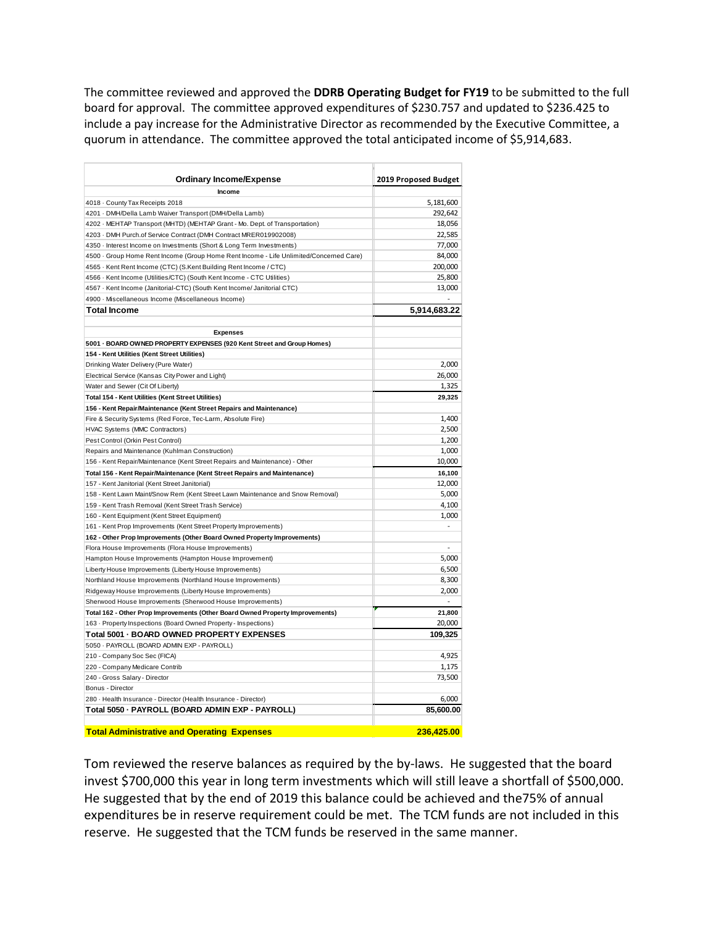The committee reviewed and approved the **DDRB Operating Budget for FY19** to be submitted to the full board for approval. The committee approved expenditures of \$230.757 and updated to \$236.425 to include a pay increase for the Administrative Director as recommended by the Executive Committee, a quorum in attendance. The committee approved the total anticipated income of \$5,914,683.

| <b>Ordinary Income/Expense</b>                                                         | 2019 Proposed Budget |
|----------------------------------------------------------------------------------------|----------------------|
| Income                                                                                 |                      |
| 4018 · County Tax Receipts 2018                                                        | 5,181,600            |
| 4201 · DMH/Della Lamb Waiver Transport (DMH/Della Lamb)                                | 292,642              |
| 4202 · MEHTAP Transport (MHTD) (MEHTAP Grant - Mo. Dept. of Transportation)            | 18,056               |
| 4203 · DMH Purch.of Service Contract (DMH Contract MRER019902008)                      | 22,585               |
| 4350 · Interest Income on Investments (Short & Long Term Investments)                  | 77,000               |
| 4500 · Group Home Rent Income (Group Home Rent Income - Life Unlimited/Concerned Care) | 84,000               |
| 4565 · Kent Rent Income (CTC) (S.Kent Building Rent Income / CTC)                      | 200,000              |
| 4566 · Kent Income (Utilities/CTC) (South Kent Income - CTC Utilities)                 | 25,800               |
| 4567 · Kent Income (Janitorial-CTC) (South Kent Income/ Janitorial CTC)                | 13,000               |
| 4900 · Miscellaneous Income (Miscellaneous Income)                                     |                      |
| <b>Total Income</b>                                                                    | 5.914.683.22         |
|                                                                                        |                      |
| <b>Expenses</b>                                                                        |                      |
| 5001 - BOARD OWNED PROPERTY EXPENSES (920 Kent Street and Group Homes)                 |                      |
| 154 - Kent Utilities (Kent Street Utilities)                                           |                      |
| Drinking Water Delivery (Pure Water)                                                   | 2,000                |
| Electrical Service (Kansas City Power and Light)                                       | 26,000               |
| Water and Sewer (Cit Of Liberty)                                                       | 1,325                |
| Total 154 - Kent Utilities (Kent Street Utilities)                                     | 29,325               |
| 156 - Kent Repair/Maintenance (Kent Street Repairs and Maintenance)                    |                      |
| Fire & Security Systems (Red Force, Tec-Larm, Absolute Fire)                           | 1,400                |
| HVAC Systems (MMC Contractors)                                                         | 2,500                |
| Pest Control (Orkin Pest Control)                                                      | 1,200                |
| Repairs and Maintenance (Kuhlman Construction)                                         | 1,000                |
| 156 - Kent Repair/Maintenance (Kent Street Repairs and Maintenance) - Other            | 10,000               |
| Total 156 - Kent Repair/Maintenance (Kent Street Repairs and Maintenance)              | 16,100               |
| 157 - Kent Janitorial (Kent Street Janitorial)                                         | 12,000               |
| 158 - Kent Lawn Maint/Snow Rem (Kent Street Lawn Maintenance and Snow Removal)         | 5,000                |
| 159 - Kent Trash Removal (Kent Street Trash Service)                                   | 4,100                |
| 160 - Kent Equipment (Kent Street Equipment)                                           | 1,000                |
| 161 - Kent Prop Improvements (Kent Street Property Improvements)                       | $\frac{1}{2}$        |
| 162 - Other Prop Improvements (Other Board Owned Property Improvements)                |                      |
| Flora House Improvements (Flora House Improvements)                                    | $\overline{a}$       |
| Hampton House Improvements (Hampton House Improvement)                                 | 5,000                |
| Liberty House Improvements (Liberty House Improvements)                                | 6,500                |
| Northland House Improvements (Northland House Improvements)                            | 8,300                |
| Ridgeway House Improvements (Liberty House Improvements)                               | 2,000                |
| Sherwood House Improvements (Sherwood House Improvements)                              |                      |
| Total 162 - Other Prop Improvements (Other Board Owned Property Improvements)          | 21,800               |
| 163 - Property Inspections (Board Owned Property - Inspections)                        | 20,000               |
| Total 5001 - BOARD OWNED PROPERTY EXPENSES                                             | 109,325              |
| 5050 · PAYROLL (BOARD ADMIN EXP - PAYROLL)                                             |                      |
| 210 - Company Soc Sec (FICA)                                                           | 4,925                |
| 220 - Company Medicare Contrib                                                         | 1,175                |
| 240 - Gross Salary - Director                                                          | 73,500               |
| Bonus - Director                                                                       |                      |
| 280 · Health Insurance - Director (Health Insurance - Director)                        | 6,000                |
| Total 5050 - PAYROLL (BOARD ADMIN EXP - PAYROLL)                                       | 85,600.00            |
|                                                                                        |                      |
| <b>Total Administrative and Operating Expenses</b>                                     | 236.425.00           |

Tom reviewed the reserve balances as required by the by-laws. He suggested that the board invest \$700,000 this year in long term investments which will still leave a shortfall of \$500,000. He suggested that by the end of 2019 this balance could be achieved and the75% of annual expenditures be in reserve requirement could be met. The TCM funds are not included in this reserve. He suggested that the TCM funds be reserved in the same manner.